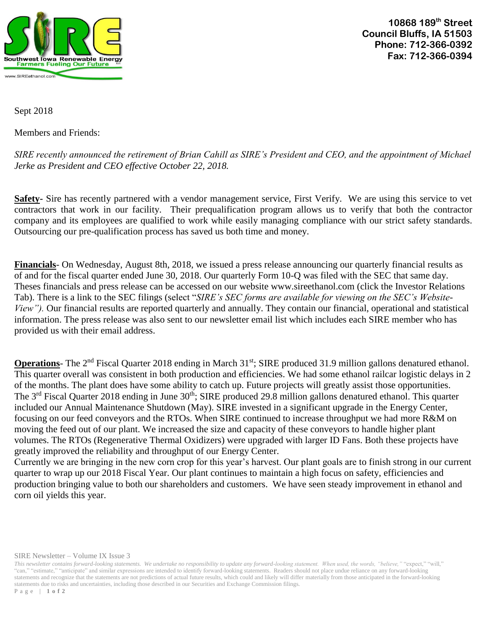

**10868 189th Street Council Bluffs, IA 51503 Phone: 712-366-0392 Fax: 712-366-0394**

Sept 2018

Members and Friends:

*SIRE recently announced the retirement of Brian Cahill as SIRE's President and CEO, and the appointment of Michael Jerke as President and CEO effective October 22, 2018.*

**Safety-** Sire has recently partnered with a vendor management service, First Verify. We are using this service to vet contractors that work in our facility. Their prequalification program allows us to verify that both the contractor company and its employees are qualified to work while easily managing compliance with our strict safety standards. Outsourcing our pre-qualification process has saved us both time and money.

**Financials**- On Wednesday, August 8th, 2018, we issued a press release announcing our quarterly financial results as of and for the fiscal quarter ended June 30, 2018. Our quarterly Form 10-Q was filed with the SEC that same day. Theses financials and press release can be accessed on our website www.sireethanol.com (click the Investor Relations Tab). There is a link to the SEC filings (select "*SIRE's SEC forms are available for viewing on the SEC's Website-View").* Our financial results are reported quarterly and annually. They contain our financial, operational and statistical information. The press release was also sent to our newsletter email list which includes each SIRE member who has provided us with their email address.

**Operations**- The 2<sup>nd</sup> Fiscal Quarter 2018 ending in March 31<sup>st</sup>; SIRE produced 31.9 million gallons denatured ethanol. This quarter overall was consistent in both production and efficiencies. We had some ethanol railcar logistic delays in 2 of the months. The plant does have some ability to catch up. Future projects will greatly assist those opportunities. The 3<sup>rd</sup> Fiscal Quarter 2018 ending in June 30<sup>th</sup>; SIRE produced 29.8 million gallons denatured ethanol. This quarter included our Annual Maintenance Shutdown (May). SIRE invested in a significant upgrade in the Energy Center, focusing on our feed conveyors and the RTOs. When SIRE continued to increase throughput we had more R&M on moving the feed out of our plant. We increased the size and capacity of these conveyors to handle higher plant volumes. The RTOs (Regenerative Thermal Oxidizers) were upgraded with larger ID Fans. Both these projects have greatly improved the reliability and throughput of our Energy Center.

Currently we are bringing in the new corn crop for this year's harvest. Our plant goals are to finish strong in our current quarter to wrap up our 2018 Fiscal Year. Our plant continues to maintain a high focus on safety, efficiencies and production bringing value to both our shareholders and customers. We have seen steady improvement in ethanol and corn oil yields this year.

SIRE Newsletter – Volume IX Issue 3

*This newsletter contains forward-looking statements. We undertake no responsibility to update any forward-looking statement. When used, the words, "believe,"* "expect," "will," "can," "estimate," "anticipate" and similar expressions are intended to identify forward-looking statements. Readers should not place undue reliance on any forward-looking statements and recognize that the statements are not predictions of actual future results, which could and likely will differ materially from those anticipated in the forward-looking statements due to risks and uncertainties, including those described in our Securities and Exchange Commission filings. P a g e | **1 o f 2**